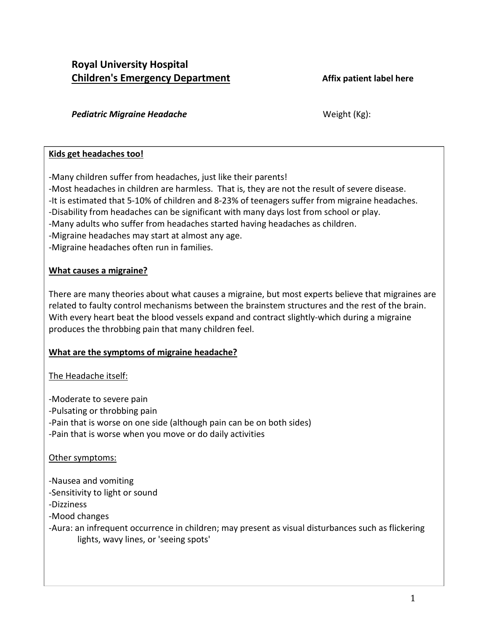# **Royal University Hospital Children's Emergency Department Affix patient label here**

### **Pediatric Migraine Headache** Meight (Kg):

### **Kids get headaches too!**

-Many children suffer from headaches, just like their parents!

-Most headaches in children are harmless. That is, they are not the result of severe disease.

-It is estimated that 5-10% of children and 8-23% of teenagers suffer from migraine headaches.

-Disability from headaches can be significant with many days lost from school or play.

-Many adults who suffer from headaches started having headaches as children.

-Migraine headaches may start at almost any age.

-Migraine headaches often run in families.

## **What causes a migraine?**

There are many theories about what causes a migraine, but most experts believe that migraines are related to faulty control mechanisms between the brainstem structures and the rest of the brain. With every heart beat the blood vessels expand and contract slightly-which during a migraine produces the throbbing pain that many children feel.

# **What are the symptoms of migraine headache?**

# The Headache itself:

-Moderate to severe pain -Pulsating or throbbing pain -Pain that is worse on one side (although pain can be on both sides) -Pain that is worse when you move or do daily activities

# Other symptoms:

-Nausea and vomiting -Sensitivity to light or sound -Dizziness -Mood changes

-Aura: an infrequent occurrence in children; may present as visual disturbances such as flickering lights, wavy lines, or 'seeing spots'